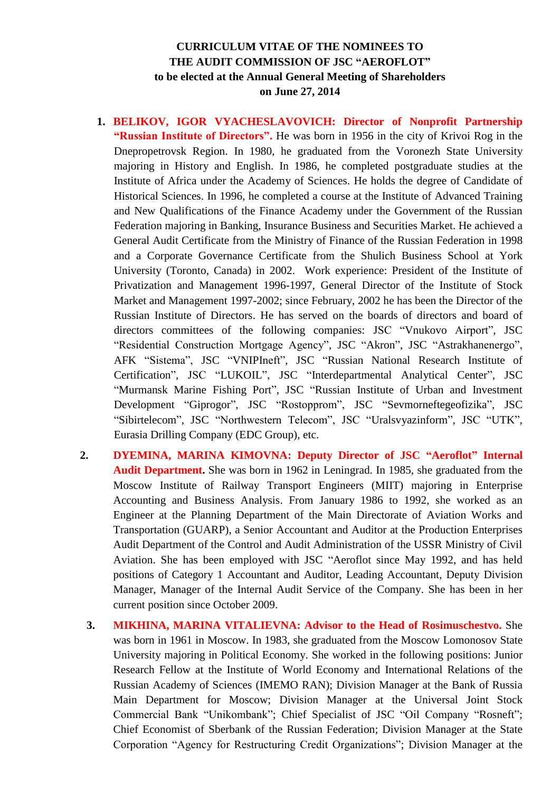## **CURRICULUM VITAE OF THE NOMINEES TO THE AUDIT COMMISSION OF JSC "AEROFLOT" to be elected at the Annual General Meeting of Shareholders on June 27, 2014**

- **1. BELIKOV, IGOR VYACHESLAVOVICH: Director of Nonprofit Partnership "Russian Institute of Directors".** He was born in 1956 in the city of Krivoi Rog in the Dnepropetrovsk Region. In 1980, he graduated from the Voronezh State University majoring in History and English. In 1986, he completed postgraduate studies at the Institute of Africa under the Academy of Sciences. He holds the degree of Candidate of Historical Sciences. In 1996, he completed a course at the Institute of Advanced Training and New Qualifications of the Finance Academy under the Government of the Russian Federation majoring in Banking, Insurance Business and Securities Market. He achieved a General Audit Certificate from the Ministry of Finance of the Russian Federation in 1998 and a Corporate Governance Certificate from the Shulich Business School at York University (Toronto, Canada) in 2002. Work experience: President of the Institute of Privatization and Management 1996-1997, General Director of the Institute of Stock Market and Management 1997-2002; since February, 2002 he has been the Director of the Russian Institute of Directors. He has served on the boards of directors and board of directors committees of the following companies: JSC "Vnukovo Airport", JSC "Residential Construction Mortgage Agency", JSC "Akron", JSC "Astrakhanenergo", AFK "Sistema", JSC "VNIPIneft", JSC "Russian National Research Institute of Certification", JSC "LUKOIL", JSC "Interdepartmental Analytical Center", JSC "Murmansk Marine Fishing Port", JSC "Russian Institute of Urban and Investment Development "Giprogor", JSC "Rostopprom", JSC "Sevmorneftegeofizika", JSC "Sibirtelecom", JSC "Northwestern Telecom", JSC "Uralsvyazinform", JSC "UTK", Eurasia Drilling Company (EDC Group), etc.
- **2. DYEMINA, MARINA KIMOVNA: Deputy Director of JSC "Aeroflot" Internal Audit Department.** She was born in 1962 in Leningrad. In 1985, she graduated from the Moscow Institute of Railway Transport Engineers (MIIT) majoring in Enterprise Accounting and Business Analysis. From January 1986 to 1992, she worked as an Engineer at the Planning Department of the Main Directorate of Aviation Works and Transportation (GUARP), a Senior Accountant and Auditor at the Production Enterprises Audit Department of the Control and Audit Administration of the USSR Ministry of Civil Aviation. She has been employed with JSC "Aeroflot since May 1992, and has held positions of Category 1 Accountant and Auditor, Leading Accountant, Deputy Division Manager, Manager of the Internal Audit Service of the Company. She has been in her current position since October 2009.
	- **3. MIKHINA, MARINA VITALIEVNA: Advisor to the Head of Rosimuschestvo.** She was born in 1961 in Moscow. In 1983, she graduated from the Moscow Lomonosov State University majoring in Political Economy. She worked in the following positions: Junior Research Fellow at the Institute of World Economy and International Relations of the Russian Academy of Sciences (IMEMO RAN); Division Manager at the Bank of Russia Main Department for Moscow; Division Manager at the Universal Joint Stock Commercial Bank "Unikombank"; Chief Specialist of JSC "Oil Company "Rosneft"; Chief Economist of Sberbank of the Russian Federation; Division Manager at the State Corporation "Agency for Restructuring Credit Organizations"; Division Manager at the